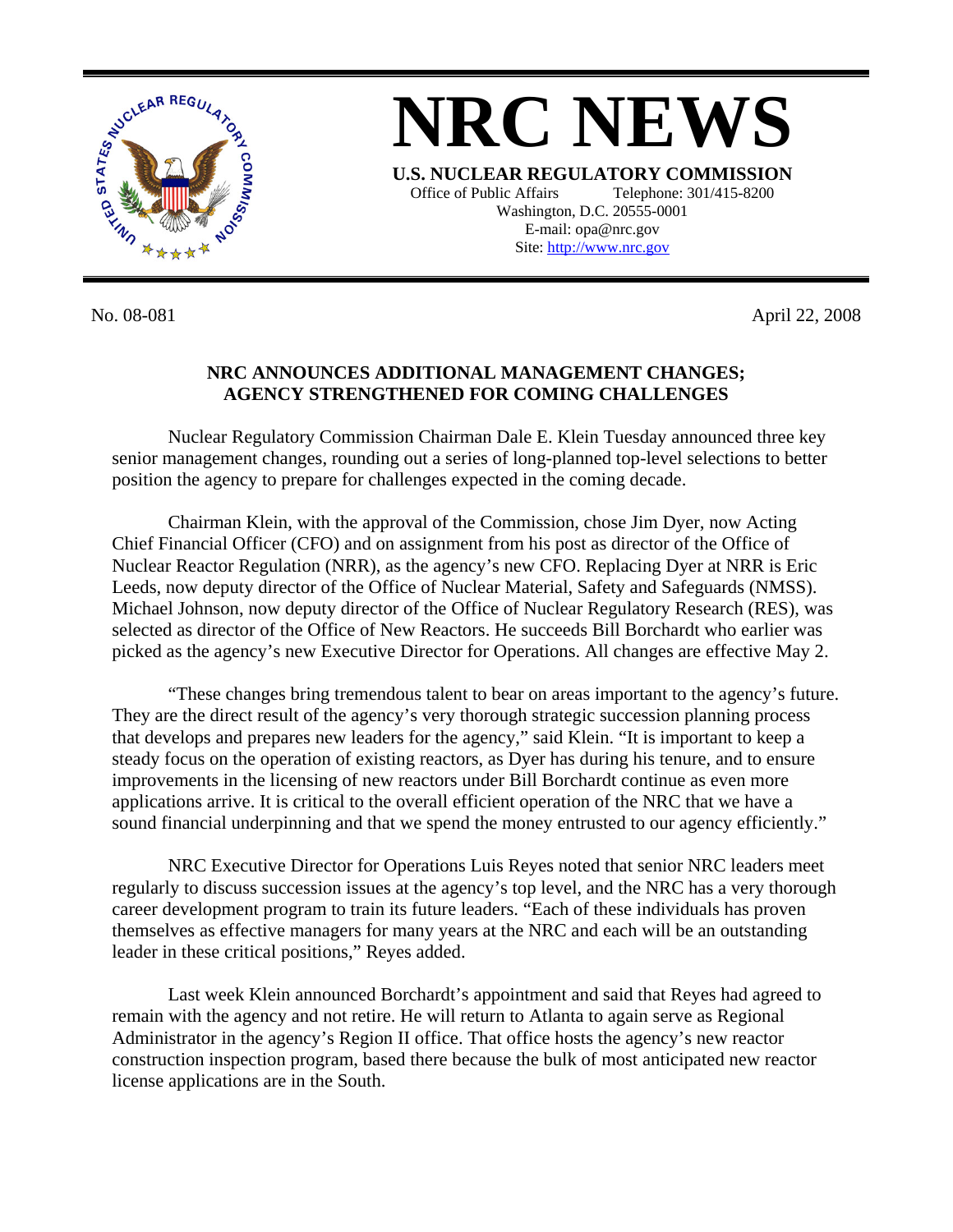

**NRC NEWS U.S. NUCLEAR REGULATORY COMMISSION** Office of Public Affairs Telephone: 301/415-8200 Washington, D.C. 20555-0001 E-mail: opa@nrc.gov Site: http://www.nrc.gov

No. 08-081 April 22, 2008

## **NRC ANNOUNCES ADDITIONAL MANAGEMENT CHANGES; AGENCY STRENGTHENED FOR COMING CHALLENGES**

Nuclear Regulatory Commission Chairman Dale E. Klein Tuesday announced three key senior management changes, rounding out a series of long-planned top-level selections to better position the agency to prepare for challenges expected in the coming decade.

Chairman Klein, with the approval of the Commission, chose Jim Dyer, now Acting Chief Financial Officer (CFO) and on assignment from his post as director of the Office of Nuclear Reactor Regulation (NRR), as the agency's new CFO. Replacing Dyer at NRR is Eric Leeds, now deputy director of the Office of Nuclear Material, Safety and Safeguards (NMSS). Michael Johnson, now deputy director of the Office of Nuclear Regulatory Research (RES), was selected as director of the Office of New Reactors. He succeeds Bill Borchardt who earlier was picked as the agency's new Executive Director for Operations. All changes are effective May 2.

"These changes bring tremendous talent to bear on areas important to the agency's future. They are the direct result of the agency's very thorough strategic succession planning process that develops and prepares new leaders for the agency," said Klein. "It is important to keep a steady focus on the operation of existing reactors, as Dyer has during his tenure, and to ensure improvements in the licensing of new reactors under Bill Borchardt continue as even more applications arrive. It is critical to the overall efficient operation of the NRC that we have a sound financial underpinning and that we spend the money entrusted to our agency efficiently."

NRC Executive Director for Operations Luis Reyes noted that senior NRC leaders meet regularly to discuss succession issues at the agency's top level, and the NRC has a very thorough career development program to train its future leaders. "Each of these individuals has proven themselves as effective managers for many years at the NRC and each will be an outstanding leader in these critical positions," Reyes added.

Last week Klein announced Borchardt's appointment and said that Reyes had agreed to remain with the agency and not retire. He will return to Atlanta to again serve as Regional Administrator in the agency's Region II office. That office hosts the agency's new reactor construction inspection program, based there because the bulk of most anticipated new reactor license applications are in the South.